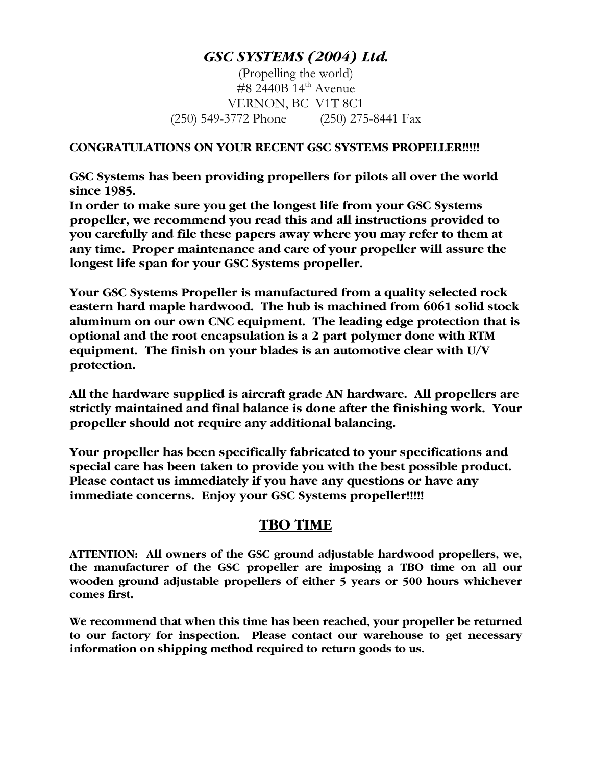# *GSC SYSTEMS (2004) Ltd.*

(Propelling the world)  $\#8$  2440B 14<sup>th</sup> Avenue VERNON, BC V1T 8C1 (250) 549-3772 Phone (250) 275-8441 Fax

#### **CONGRATULATIONS ON YOUR RECENT GSC SYSTEMS PROPELLER!!!!!**

**GSC Systems has been providing propellers for pilots all over the world since 1985.** 

**In order to make sure you get the longest life from your GSC Systems propeller, we recommend you read this and all instructions provided to you carefully and file these papers away where you may refer to them at any time. Proper maintenance and care of your propeller will assure the longest life span for your GSC Systems propeller.** 

**Your GSC Systems Propeller is manufactured from a quality selected rock eastern hard maple hardwood. The hub is machined from 6061 solid stock aluminum on our own CNC equipment. The leading edge protection that is optional and the root encapsulation is a 2 part polymer done with RTM equipment. The finish on your blades is an automotive clear with U/V protection.** 

**All the hardware supplied is aircraft grade AN hardware. All propellers are strictly maintained and final balance is done after the finishing work. Your propeller should not require any additional balancing.** 

**Your propeller has been specifically fabricated to your specifications and special care has been taken to provide you with the best possible product. Please contact us immediately if you have any questions or have any immediate concerns. Enjoy your GSC Systems propeller!!!!!** 

### **TBO TIME**

**ATTENTION: All owners of the GSC ground adjustable hardwood propellers, we, the manufacturer of the GSC propeller are imposing a TBO time on all our wooden ground adjustable propellers of either 5 years or 500 hours whichever comes first.** 

**We recommend that when this time has been reached, your propeller be returned to our factory for inspection. Please contact our warehouse to get necessary information on shipping method required to return goods to us.**